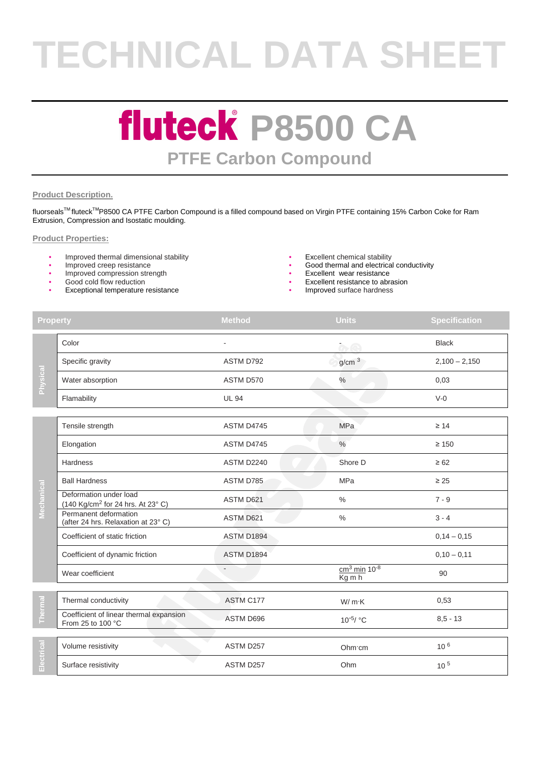# **TECHNICAL DATA SHEET**

### **fluteck P8500 CA PTFE Carbon Compound**

#### **Product Description.**

fluorseals™ fluteck<sup>™</sup>P8500 CA PTFE Carbon Compound is a filled compound based on Virgin PTFE containing 15% Carbon Coke for Ram Extrusion, Compression and Isostatic moulding.

#### **Product Properties:**

- Improved thermal dimensional stability Excellent chemical stability
- 
- Improved compression strength
- Good cold flow reduction
- Exceptional temperature resistance Improved surface hardness
- 
- Improved creep resistance  $\sim$  6000 thermal and electrical conductivity
	- Excellent wear resistance
	- Excellent resistance to abrasion
	-

| <b>Property</b> |                                                                         | <b>Method</b>     | <b>Units</b>                                      | <b>Specification</b> |
|-----------------|-------------------------------------------------------------------------|-------------------|---------------------------------------------------|----------------------|
| Physical        | Color                                                                   |                   | $\alpha$ e                                        | <b>Black</b>         |
|                 | Specific gravity                                                        | ASTM D792         | g/cm <sup>3</sup>                                 | $2,100 - 2,150$      |
|                 | Water absorption                                                        | ASTM D570         | $\%$                                              | 0,03                 |
|                 | Flamability                                                             | <b>UL 94</b>      |                                                   | $V-0$                |
|                 | Tensile strength                                                        | ASTM D4745        | <b>MPa</b>                                        | $\geq 14$            |
|                 | Elongation                                                              | ASTM D4745        | $\%$                                              | $\geq 150$           |
|                 | Hardness                                                                | ASTM D2240        | Shore D                                           | $\geq 62$            |
|                 | <b>Ball Hardness</b>                                                    | ASTM D785         | <b>MPa</b>                                        | $\geq 25$            |
| Mechanical      | Deformation under load<br>(140 Kg/cm <sup>2</sup> for 24 hrs. At 23° C) | ASTM D621         | $\frac{0}{0}$                                     | $7 - 9$              |
|                 | Permanent deformation<br>(after 24 hrs. Relaxation at 23°C)             | ASTM D621         | $\%$                                              | $3 - 4$              |
|                 | Coefficient of static friction                                          | ASTM D1894        |                                                   | $0,14 - 0,15$        |
|                 | Coefficient of dynamic friction                                         | <b>ASTM D1894</b> |                                                   | $0,10 - 0,11$        |
|                 | Wear coefficient                                                        |                   | $cm3$ min 10 <sup>-8</sup><br>$\overline{Kg}$ m h | 90                   |
| Thermal         | Thermal conductivity                                                    | ASTM C177         | W/mK                                              | 0,53                 |
|                 | Coefficient of linear thermal expansion<br>From 25 to 100 °C            | ASTM D696         | $10^{-5}$ / °C                                    | $8,5 - 13$           |
| ectrical<br>m   | Volume resistivity                                                      | ASTM D257         | Ohm cm                                            | 10 <sup>6</sup>      |
|                 | Surface resistivity                                                     | ASTM D257         | Ohm                                               | 10 <sup>5</sup>      |